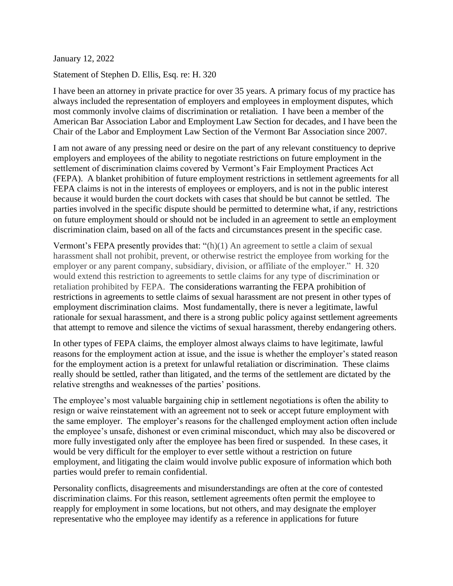January 12, 2022

Statement of Stephen D. Ellis, Esq. re: H. 320

I have been an attorney in private practice for over 35 years. A primary focus of my practice has always included the representation of employers and employees in employment disputes, which most commonly involve claims of discrimination or retaliation. I have been a member of the American Bar Association Labor and Employment Law Section for decades, and I have been the Chair of the Labor and Employment Law Section of the Vermont Bar Association since 2007.

I am not aware of any pressing need or desire on the part of any relevant constituency to deprive employers and employees of the ability to negotiate restrictions on future employment in the settlement of discrimination claims covered by Vermont's Fair Employment Practices Act (FEPA). A blanket prohibition of future employment restrictions in settlement agreements for all FEPA claims is not in the interests of employees or employers, and is not in the public interest because it would burden the court dockets with cases that should be but cannot be settled. The parties involved in the specific dispute should be permitted to determine what, if any, restrictions on future employment should or should not be included in an agreement to settle an employment discrimination claim, based on all of the facts and circumstances present in the specific case.

Vermont's FEPA presently provides that: "(h)(1) An agreement to settle a claim of sexual harassment shall not prohibit, prevent, or otherwise restrict the employee from working for the employer or any parent company, subsidiary, division, or affiliate of the employer." H. 320 would extend this restriction to agreements to settle claims for any type of discrimination or retaliation prohibited by FEPA. The considerations warranting the FEPA prohibition of restrictions in agreements to settle claims of sexual harassment are not present in other types of employment discrimination claims. Most fundamentally, there is never a legitimate, lawful rationale for sexual harassment, and there is a strong public policy against settlement agreements that attempt to remove and silence the victims of sexual harassment, thereby endangering others.

In other types of FEPA claims, the employer almost always claims to have legitimate, lawful reasons for the employment action at issue, and the issue is whether the employer's stated reason for the employment action is a pretext for unlawful retaliation or discrimination. These claims really should be settled, rather than litigated, and the terms of the settlement are dictated by the relative strengths and weaknesses of the parties' positions.

The employee's most valuable bargaining chip in settlement negotiations is often the ability to resign or waive reinstatement with an agreement not to seek or accept future employment with the same employer. The employer's reasons for the challenged employment action often include the employee's unsafe, dishonest or even criminal misconduct, which may also be discovered or more fully investigated only after the employee has been fired or suspended. In these cases, it would be very difficult for the employer to ever settle without a restriction on future employment, and litigating the claim would involve public exposure of information which both parties would prefer to remain confidential.

Personality conflicts, disagreements and misunderstandings are often at the core of contested discrimination claims. For this reason, settlement agreements often permit the employee to reapply for employment in some locations, but not others, and may designate the employer representative who the employee may identify as a reference in applications for future